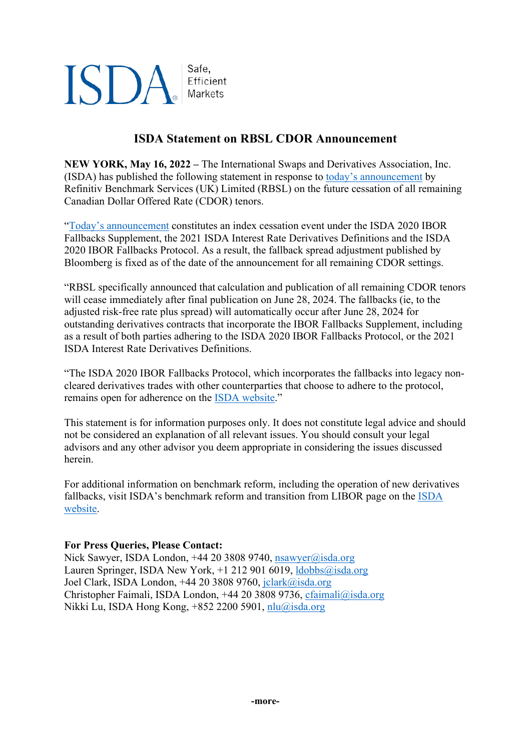## **ISDA** Safe, Efficient Markets

## **ISDA Statement on RBSL CDOR Announcement**

**NEW YORK, May 16, 2022 –** The International Swaps and Derivatives Association, Inc. (ISDA) has published the following statement in response to [today's announcement](https://www.refinitiv.com/content/dam/marketing/en_us/documents/methodology/cdor-cessation-notice.pdf) by Refinitiv Benchmark Services (UK) Limited (RBSL) on the future cessation of all remaining Canadian Dollar Offered Rate (CDOR) tenors.

["Today's announcement](https://www.refinitiv.com/content/dam/marketing/en_us/documents/methodology/cdor-cessation-notice.pdf) constitutes an index cessation event under the ISDA 2020 IBOR Fallbacks Supplement, the 2021 ISDA Interest Rate Derivatives Definitions and the ISDA 2020 IBOR Fallbacks Protocol. As a result, the fallback spread adjustment published by Bloomberg is fixed as of the date of the announcement for all remaining CDOR settings.

"RBSL specifically announced that calculation and publication of all remaining CDOR tenors will cease immediately after final publication on June 28, 2024. The fallbacks (ie, to the adjusted risk-free rate plus spread) will automatically occur after June 28, 2024 for outstanding derivatives contracts that incorporate the IBOR Fallbacks Supplement, including as a result of both parties adhering to the ISDA 2020 IBOR Fallbacks Protocol, or the 2021 ISDA Interest Rate Derivatives Definitions.

"The ISDA 2020 IBOR Fallbacks Protocol, which incorporates the fallbacks into legacy noncleared derivatives trades with other counterparties that choose to adhere to the protocol, remains open for adherence on the [ISDA website.](https://www.isda.org/protocol/isda-2020-ibor-fallbacks-protocol/?_zs=hqmLJ1&_zl=Ui0C6)"

This statement is for information purposes only. It does not constitute legal advice and should not be considered an explanation of all relevant issues. You should consult your legal advisors and any other advisor you deem appropriate in considering the issues discussed herein.

For additional information on benchmark reform, including the operation of new derivatives fallbacks, visit ISDA's benchmark reform and transition from LIBOR page on the [ISDA](https://www.isda.org/2020/05/11/benchmark-reform-and-transition-from-libor/?_zs=hqmLJ1&_zl=Vi0C6)  [website.](https://www.isda.org/2020/05/11/benchmark-reform-and-transition-from-libor/?_zs=hqmLJ1&_zl=Vi0C6)

## **For Press Queries, Please Contact:**

Nick Sawyer, ISDA London, +44 20 3808 9740, [nsawyer@isda.org](mailto:nsawyer@isda.org) Lauren Springer, ISDA New York, +1 212 901 6019, [ldobbs@isda.org](mailto:ldobbs@isda.org) Joel Clark, ISDA London, +44 20 3808 9760, [jclark@isda.org](mailto:jclark@isda.org) Christopher Faimali, ISDA London, +44 20 3808 9736, [cfaimali@isda.org](mailto:cfaimali@isda.org) Nikki Lu, ISDA Hong Kong, +852 2200 5901, [nlu@isda.org](mailto:nlu@isda.org)